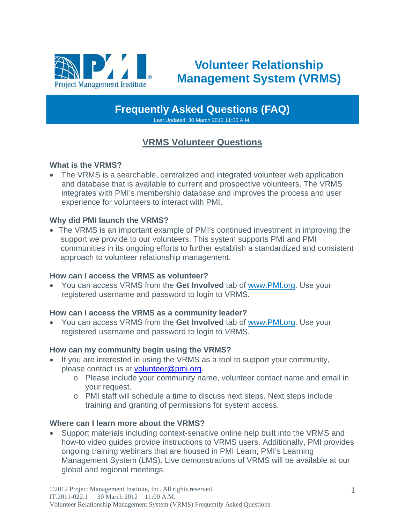

# **Volunteer Relationship Management System (VRMS)**

**Frequently Asked Questions (FAQ)** 

Last Updated: 30 March 2012 11:00 A.M.

# **VRMS Volunteer Questions**

# **What is the VRMS?**

 The VRMS is a searchable, centralized and integrated volunteer web application and database that is available to current and prospective volunteers. The VRMS integrates with PMI's membership database and improves the process and user experience for volunteers to interact with PMI.

# **Why did PMI launch the VRMS?**

 The VRMS is an important example of PMI's continued investment in improving the support we provide to our volunteers. This system supports PMI and PMI communities in its ongoing efforts to further establish a standardized and consistent approach to volunteer relationship management.

## **How can I access the VRMS as volunteer?**

 You can access VRMS from the **Get Involved** tab of www.PMI.org. Use your registered username and password to login to VRMS.

## **How can I access the VRMS as a community leader?**

 You can access VRMS from the **Get Involved** tab of www.PMI.org. Use your registered username and password to login to VRMS.

## **How can my community begin using the VRMS?**

- If you are interested in using the VRMS as a tool to support your community, please contact us at volunteer@pmi.org.
	- o Please include your community name, volunteer contact name and email in your request.
	- o PMI staff will schedule a time to discuss next steps. Next steps include training and granting of permissions for system access.

## **Where can I learn more about the VRMS?**

 Support materials including context-sensitive online help built into the VRMS and how-to video guides provide instructions to VRMS users. Additionally, PMI provides ongoing training webinars that are housed in PMI Learn, PMI's Learning Management System (LMS). Live demonstrations of VRMS will be available at our global and regional meetings.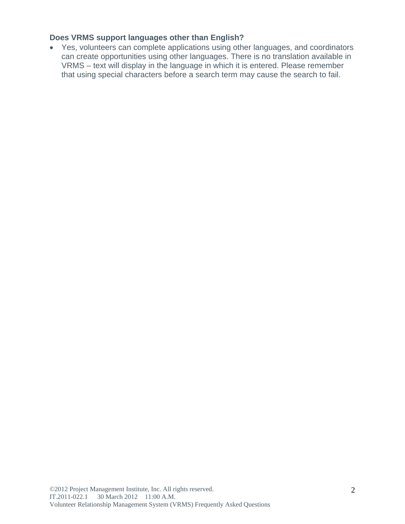# **Does VRMS support languages other than English?**

 Yes, volunteers can complete applications using other languages, and coordinators can create opportunities using other languages. There is no translation available in VRMS – text will display in the language in which it is entered. Please remember that using special characters before a search term may cause the search to fail.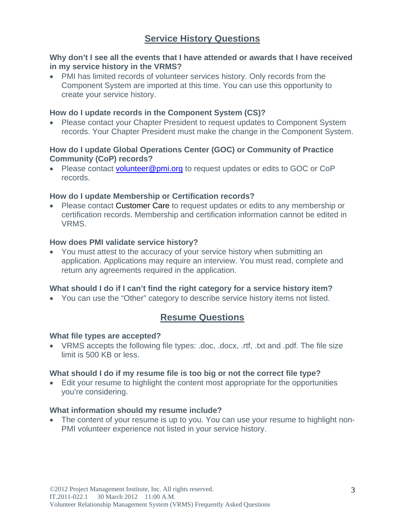# **Service History Questions**

### **Why don't I see all the events that I have attended or awards that I have received in my service history in the VRMS?**

 PMI has limited records of volunteer services history. Only records from the Component System are imported at this time. You can use this opportunity to create your service history.

### **How do I update records in the Component System (CS)?**

• Please contact your Chapter President to request updates to Component System records. Your Chapter President must make the change in the Component System.

### **How do I update Global Operations Center (GOC) or Community of Practice Community (CoP) records?**

• Please contact volunteer@pmi.org to request updates or edits to GOC or CoP records.

### **How do I update Membership or Certification records?**

• Please contact Customer Care to request updates or edits to any membership or certification records. Membership and certification information cannot be edited in VRMS.

### **How does PMI validate service history?**

 You must attest to the accuracy of your service history when submitting an application. Applications may require an interview. You must read, complete and return any agreements required in the application.

## **What should I do if I can't find the right category for a service history item?**

You can use the "Other" category to describe service history items not listed.

# **Resume Questions**

### **What file types are accepted?**

 VRMS accepts the following file types: .doc, .docx, .rtf, .txt and .pdf. The file size limit is 500 KB or less.

### **What should I do if my resume file is too big or not the correct file type?**

 Edit your resume to highlight the content most appropriate for the opportunities you're considering.

### **What information should my resume include?**

• The content of your resume is up to you. You can use your resume to highlight non-PMI volunteer experience not listed in your service history.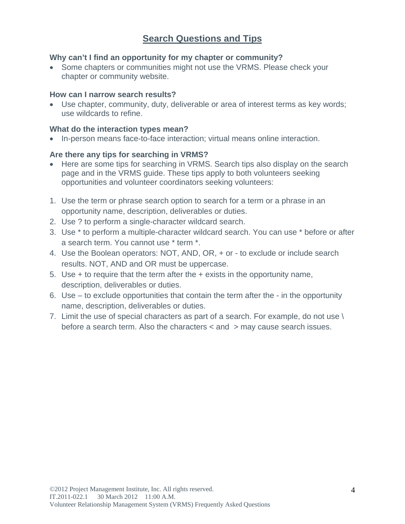# **Search Questions and Tips**

### **Why can't I find an opportunity for my chapter or community?**

• Some chapters or communities might not use the VRMS. Please check your chapter or community website.

### **How can I narrow search results?**

 Use chapter, community, duty, deliverable or area of interest terms as key words; use wildcards to refine.

### **What do the interaction types mean?**

• In-person means face-to-face interaction; virtual means online interaction.

### **Are there any tips for searching in VRMS?**

- Here are some tips for searching in VRMS. Search tips also display on the search page and in the VRMS guide. These tips apply to both volunteers seeking opportunities and volunteer coordinators seeking volunteers:
- 1. Use the term or phrase search option to search for a term or a phrase in an opportunity name, description, deliverables or duties.
- 2. Use ? to perform a single-character wildcard search.
- 3. Use \* to perform a multiple-character wildcard search. You can use \* before or after a search term. You cannot use \* term \*.
- 4. Use the Boolean operators: NOT, AND, OR, + or to exclude or include search results. NOT, AND and OR must be uppercase.
- 5. Use + to require that the term after the + exists in the opportunity name, description, deliverables or duties.
- 6. Use to exclude opportunities that contain the term after the in the opportunity name, description, deliverables or duties.
- 7. Limit the use of special characters as part of a search. For example, do not use \ before a search term. Also the characters < and > may cause search issues.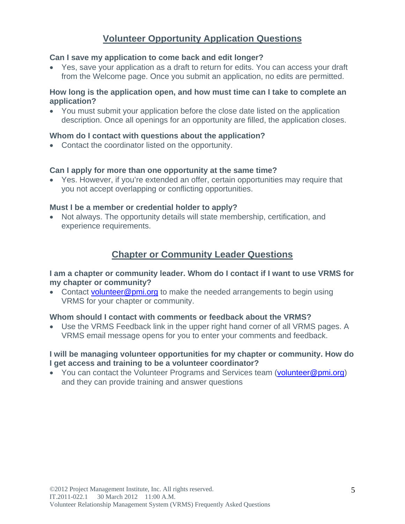# **Volunteer Opportunity Application Questions**

#### **Can I save my application to come back and edit longer?**

 Yes, save your application as a draft to return for edits. You can access your draft from the Welcome page. Once you submit an application, no edits are permitted.

#### **How long is the application open, and how must time can I take to complete an application?**

 You must submit your application before the close date listed on the application description. Once all openings for an opportunity are filled, the application closes.

#### **Whom do I contact with questions about the application?**

Contact the coordinator listed on the opportunity.

#### **Can I apply for more than one opportunity at the same time?**

 Yes. However, if you're extended an offer, certain opportunities may require that you not accept overlapping or conflicting opportunities.

#### **Must I be a member or credential holder to apply?**

 Not always. The opportunity details will state membership, certification, and experience requirements.

# **Chapter or Community Leader Questions**

**I am a chapter or community leader. Whom do I contact if I want to use VRMS for my chapter or community?** 

• Contact volunteer@pmi.org to make the needed arrangements to begin using VRMS for your chapter or community.

#### **Whom should I contact with comments or feedback about the VRMS?**

 Use the VRMS Feedback link in the upper right hand corner of all VRMS pages. A VRMS email message opens for you to enter your comments and feedback.

#### **I will be managing volunteer opportunities for my chapter or community. How do I get access and training to be a volunteer coordinator?**

• You can contact the Volunteer Programs and Services team (volunteer@pmi.org) and they can provide training and answer questions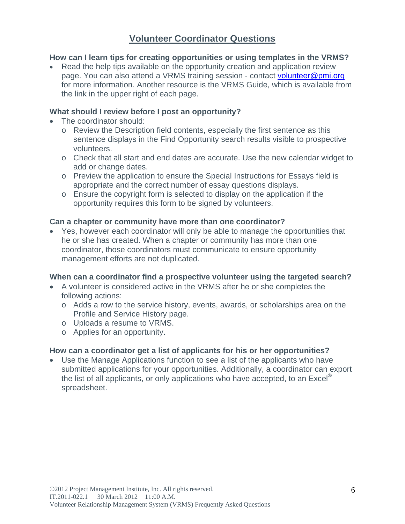# **Volunteer Coordinator Questions**

### **How can I learn tips for creating opportunities or using templates in the VRMS?**

• Read the help tips available on the opportunity creation and application review page. You can also attend a VRMS training session - contact volunteer@pmi.org for more information. Another resource is the VRMS Guide, which is available from the link in the upper right of each page.

### **What should I review before I post an opportunity?**

- The coordinator should:
	- o Review the Description field contents, especially the first sentence as this sentence displays in the Find Opportunity search results visible to prospective volunteers.
	- o Check that all start and end dates are accurate. Use the new calendar widget to add or change dates.
	- o Preview the application to ensure the Special Instructions for Essays field is appropriate and the correct number of essay questions displays.
	- o Ensure the copyright form is selected to display on the application if the opportunity requires this form to be signed by volunteers.

### **Can a chapter or community have more than one coordinator?**

 Yes, however each coordinator will only be able to manage the opportunities that he or she has created. When a chapter or community has more than one coordinator, those coordinators must communicate to ensure opportunity management efforts are not duplicated.

### **When can a coordinator find a prospective volunteer using the targeted search?**

- A volunteer is considered active in the VRMS after he or she completes the following actions:
	- o Adds a row to the service history, events, awards, or scholarships area on the Profile and Service History page.
	- o Uploads a resume to VRMS.
	- o Applies for an opportunity.

### **How can a coordinator get a list of applicants for his or her opportunities?**

 Use the Manage Applications function to see a list of the applicants who have submitted applications for your opportunities. Additionally, a coordinator can export the list of all applicants, or only applications who have accepted, to an  $\text{Excel}^{\odot}$ spreadsheet.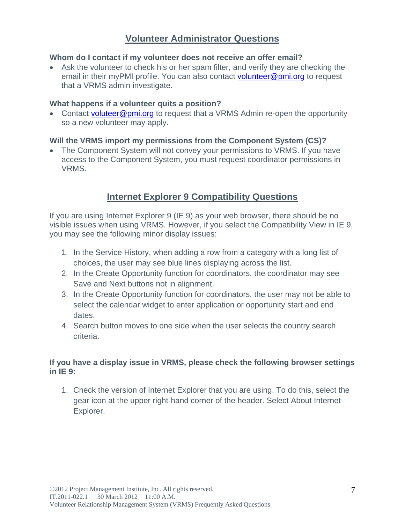# **Volunteer Administrator Questions**

### **Whom do I contact if my volunteer does not receive an offer email?**

 Ask the volunteer to check his or her spam filter, and verify they are checking the email in their myPMI profile. You can also contact volunteer@pmi.org to request that a VRMS admin investigate.

### **What happens if a volunteer quits a position?**

• Contact voluteer@pmi.org to request that a VRMS Admin re-open the opportunity so a new volunteer may apply.

### **Will the VRMS import my permissions from the Component System (CS)?**

• The Component System will not convey your permissions to VRMS. If you have access to the Component System, you must request coordinator permissions in VRMS.

# **Internet Explorer 9 Compatibility Questions**

If you are using Internet Explorer 9 (IE 9) as your web browser, there should be no visible issues when using VRMS. However, if you select the Compatibility View in IE 9, you may see the following minor display issues:

- 1. In the Service History, when adding a row from a category with a long list of choices, the user may see blue lines displaying across the list.
- 2. In the Create Opportunity function for coordinators, the coordinator may see Save and Next buttons not in alignment.
- 3. In the Create Opportunity function for coordinators, the user may not be able to select the calendar widget to enter application or opportunity start and end dates.
- 4. Search button moves to one side when the user selects the country search criteria.

## **If you have a display issue in VRMS, please check the following browser settings in IE 9:**

1. Check the version of Internet Explorer that you are using. To do this, select the gear icon at the upper right-hand corner of the header. Select About Internet Explorer.